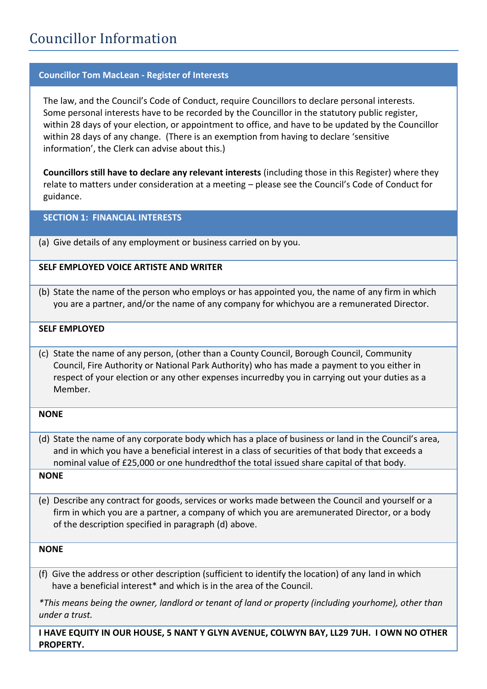# Councillor Information

## **Councillor Tom MacLean - Register of Interests**

The law, and the Council's Code of Conduct, require Councillors to declare personal interests. Some personal interests have to be recorded by the Councillor in the statutory public register, within 28 days of your election, or appointment to office, and have to be updated by the Councillor within 28 days of any change. (There is an exemption from having to declare 'sensitive information', the Clerk can advise about this.)

**Councillors still have to declare any relevant interests** (including those in this Register) where they relate to matters under consideration at a meeting – please see the Council's Code of Conduct for guidance.

## **SECTION 1: FINANCIAL INTERESTS**

(a) Give details of any employment or business carried on by you.

## **SELF EMPLOYED VOICE ARTISTE AND WRITER**

(b) State the name of the person who employs or has appointed you, the name of any firm in which you are a partner, and/or the name of any company for whichyou are a remunerated Director.

### **SELF EMPLOYED**

(c) State the name of any person, (other than a County Council, Borough Council, Community Council, Fire Authority or National Park Authority) who has made a payment to you either in respect of your election or any other expenses incurredby you in carrying out your duties as a Member.

### **NONE**

(d) State the name of any corporate body which has a place of business or land in the Council's area, and in which you have a beneficial interest in a class of securities of that body that exceeds a nominal value of £25,000 or one hundredthof the total issued share capital of that body.

**NONE**

(e) Describe any contract for goods, services or works made between the Council and yourself or a firm in which you are a partner, a company of which you are aremunerated Director, or a body of the description specified in paragraph (d) above.

#### **NONE**

 (f) Give the address or other description (sufficient to identify the location) of any land in which have a beneficial interest\* and which is in the area of the Council.

*\*This means being the owner, landlord or tenant of land or property (including yourhome), other than under a trust.*

**I HAVE EQUITY IN OUR HOUSE, 5 NANT Y GLYN AVENUE, COLWYN BAY, LL29 7UH. I OWN NO OTHER PROPERTY.**